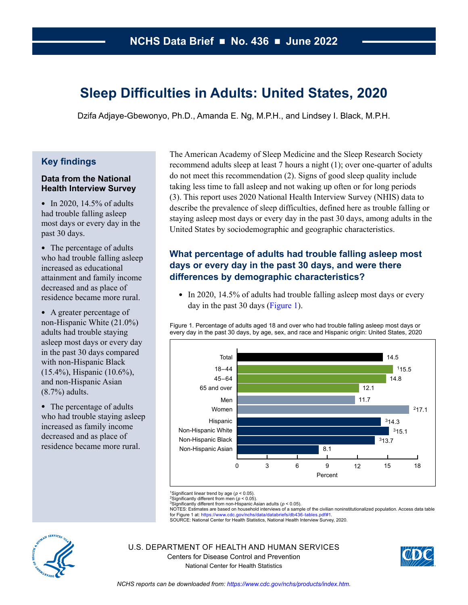# **Sleep Difficulties in Adults: United States, 2020**

Dzifa Adjaye-Gbewonyo, Ph.D., Amanda E. Ng, M.P.H., and Lindsey I. Black, M.P.H.

# **Key findings**

### **Data from the National Health Interview Survey**

• In 2020, 14.5% of adults had trouble falling asleep most days or every day in the past 30 days.

• The percentage of adults who had trouble falling asleep increased as educational attainment and family income decreased and as place of residence became more rural.

• A greater percentage of non-Hispanic White (21.0%) adults had trouble staying asleep most days or every day in the past 30 days compared with non-Hispanic Black (15.4%), Hispanic (10.6%), and non-Hispanic Asian (8.7%) adults.

• The percentage of adults who had trouble staying asleep increased as family income decreased and as place of residence became more rural.

The American Academy of Sleep Medicine and the Sleep Research Society recommend adults sleep at least 7 hours a night (1); over one-quarter of adults do not meet this recommendation (2). Signs of good sleep quality include taking less time to fall asleep and not waking up often or for long periods (3). This report uses 2020 National Health Interview Survey (NHIS) data to describe the prevalence of sleep difficulties, defined here as trouble falling or staying asleep most days or every day in the past 30 days, among adults in the United States by sociodemographic and geographic characteristics.

# **What percentage of adults had trouble falling asleep most days or every day in the past 30 days, and were there differences by demographic characteristics?**

• In 2020, 14.5% of adults had trouble falling asleep most days or every day in the past 30 days (Figure 1).

Figure 1. Percentage of adults aged 18 and over who had trouble falling asleep most days or every day in the past 30 days, by age, sex, and race and Hispanic origin: United States, 2020



<sup>1</sup>Significant linear trend by age ( $p < 0.05$ ).

2Significantly different from men (*p* < 0.05).

3Significantly different from non-Hispanic Asian adults (*p* < 0.05).

NOTES: Estimates are based on household interviews of a sample of the civilian noninstitutionalized population. Access data table<br>for Figure 1 at: [https://www.cdc.gov/nchs/data/databriefs/db436-tables.pdf#1.](https://www.cdc.gov/nchs/data/databriefs/db436-tables.pdf#1)

SOURCE: National Center for Health Statistics, National Health Interview Survey, 2020.



U.S. DEPARTMENT OF HEALTH AND HUMAN SERVICES Centers for Disease Control and Prevention National Center for Health Statistics

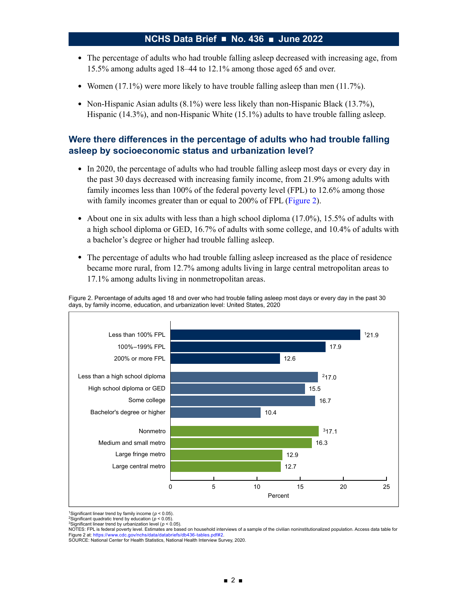- The percentage of adults who had trouble falling asleep decreased with increasing age, from 15.5% among adults aged 18–44 to 12.1% among those aged 65 and over.
- Women  $(17.1\%)$  were more likely to have trouble falling asleep than men  $(11.7\%)$ .
- Non-Hispanic Asian adults (8.1%) were less likely than non-Hispanic Black (13.7%), Hispanic (14.3%), and non-Hispanic White (15.1%) adults to have trouble falling asleep.

# **Were there differences in the percentage of adults who had trouble falling asleep by socioeconomic status and urbanization level?**

- In 2020, the percentage of adults who had trouble falling asleep most days or every day in the past 30 days decreased with increasing family income, from 21.9% among adults with family incomes less than 100% of the federal poverty level (FPL) to 12.6% among those with family incomes greater than or equal to 200% of FPL (Figure 2).
- About one in six adults with less than a high school diploma (17.0%), 15.5% of adults with a high school diploma or GED, 16.7% of adults with some college, and 10.4% of adults with a bachelor's degree or higher had trouble falling asleep.
- The percentage of adults who had trouble falling asleep increased as the place of residence became more rural, from 12.7% among adults living in large central metropolitan areas to 17.1% among adults living in nonmetropolitan areas.

Figure 2. Percentage of adults aged 18 and over who had trouble falling asleep most days or every day in the past 30 days, by family income, education, and urbanization level: United States, 2020



<sup>1</sup>Significant linear trend by family income ( $p < 0.05$ )

SOURCE: National Center for Health Statistics, National Health Interview Survey, 2020.

<sup>2</sup>Significant quadratic trend by education (*p* < 0.05). <sup>3</sup>Significant linear trend by urbanization level ( $p < 0.05$ ).

NOTES: FPL is federal poverty level. Estimates are based on household interviews of a sample of the civilian noninstitutionalized population. Access data table for<br>Figure 2 at: https://www.cdc.gov/nchs/data/databriefs/db43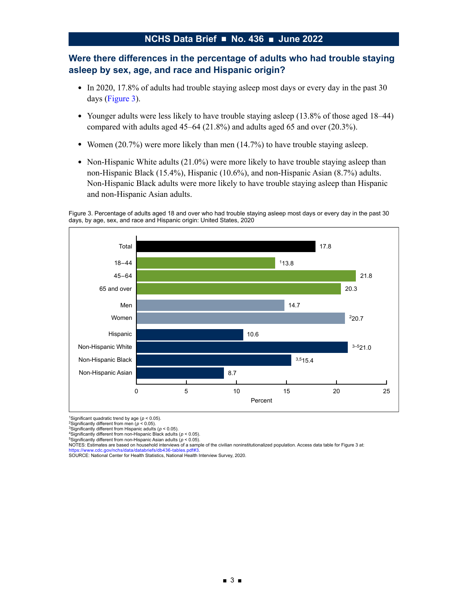# **Were there differences in the percentage of adults who had trouble staying asleep by sex, age, and race and Hispanic origin?**

- In 2020, 17.8% of adults had trouble staying asleep most days or every day in the past 30 days (Figure 3).
- Younger adults were less likely to have trouble staying asleep (13.8% of those aged 18–44) compared with adults aged 45–64 (21.8%) and adults aged 65 and over (20.3%).
- Women  $(20.7\%)$  were more likely than men  $(14.7\%)$  to have trouble staying asleep.
- Non-Hispanic White adults  $(21.0\%)$  were more likely to have trouble staying asleep than non-Hispanic Black (15.4%), Hispanic (10.6%), and non-Hispanic Asian (8.7%) adults. Non-Hispanic Black adults were more likely to have trouble staying asleep than Hispanic and non-Hispanic Asian adults.

Figure 3. Percentage of adults aged 18 and over who had trouble staying asleep most days or every day in the past 30 days, by age, sex, and race and Hispanic origin: United States, 2020



1Significant quadratic trend by age (*p* < 0.05). 2Significantly different from men (*p* < 0.05).

3Significantly different from Hispanic adults (*p* < 0.05).

4Significantly different from non-Hispanic Black adults (*p* < 0.05).

5Significantly different from non-Hispanic Asian adults (*p* < 0.05).

NOTES: Estimates are based on household interviews of a sample of the civilian noninstitutionalized population. Access data table for Figure 3 at: vww.cdc.gov/nchs/data/databriefs/db436-tables.pdf#3

SOURCE: National Center for Health Statistics, National Health Interview Survey, 2020.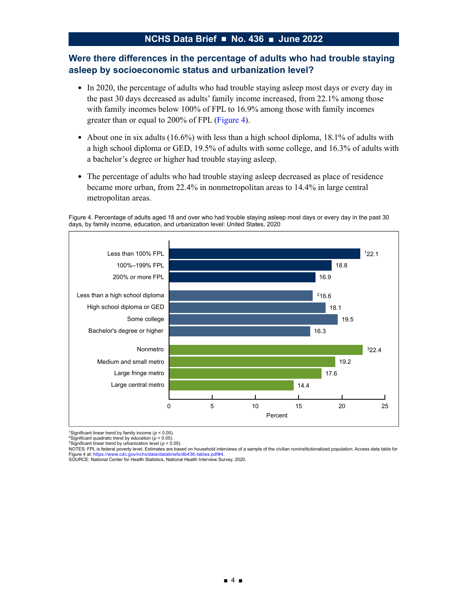## **Were there differences in the percentage of adults who had trouble staying asleep by socioeconomic status and urbanization level?**

- In 2020, the percentage of adults who had trouble staying asleep most days or every day in the past 30 days decreased as adults' family income increased, from 22.1% among those with family incomes below 100% of FPL to 16.9% among those with family incomes greater than or equal to 200% of FPL (Figure 4).
- About one in six adults (16.6%) with less than a high school diploma, 18.1% of adults with a high school diploma or GED, 19.5% of adults with some college, and 16.3% of adults with a bachelor's degree or higher had trouble staying asleep.
- The percentage of adults who had trouble staying asleep decreased as place of residence became more urban, from 22.4% in nonmetropolitan areas to 14.4% in large central metropolitan areas.

Figure 4. Percentage of adults aged 18 and over who had trouble staying asleep most days or every day in the past 30 days, by family income, education, and urbanization level: United States, 2020



1Significant linear trend by family income (*p* < 0.05).

<sup>2</sup>Significant quadratic trend by education ( $p < 0.05$ ).

<sup>3</sup>Significant linear trend by urbanization level ( $p < 0.05$ ).

NOTES: FPL is federal poverty level. Estimates are based on household interviews of a sample of the civilian noninstitutionalized population. Access data table for<br>Figure 4 at: https://www.cdc.gov/nchs/data/databriefs/db43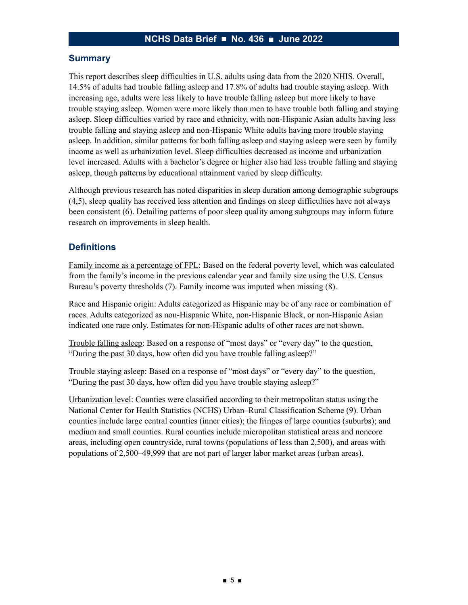### **Summary**

This report describes sleep difficulties in U.S. adults using data from the 2020 NHIS. Overall, 14.5% of adults had trouble falling asleep and 17.8% of adults had trouble staying asleep. With increasing age, adults were less likely to have trouble falling asleep but more likely to have trouble staying asleep. Women were more likely than men to have trouble both falling and staying asleep. Sleep difficulties varied by race and ethnicity, with non-Hispanic Asian adults having less trouble falling and staying asleep and non-Hispanic White adults having more trouble staying asleep. In addition, similar patterns for both falling asleep and staying asleep were seen by family income as well as urbanization level. Sleep difficulties decreased as income and urbanization level increased. Adults with a bachelor's degree or higher also had less trouble falling and staying asleep, though patterns by educational attainment varied by sleep difficulty.

Although previous research has noted disparities in sleep duration among demographic subgroups (4,5), sleep quality has received less attention and findings on sleep difficulties have not always been consistent (6). Detailing patterns of poor sleep quality among subgroups may inform future research on improvements in sleep health.

### **Definitions**

Family income as a percentage of FPL: Based on the federal poverty level, which was calculated from the family's income in the previous calendar year and family size using the U.S. Census Bureau's poverty thresholds (7). Family income was imputed when missing (8).

Race and Hispanic origin: Adults categorized as Hispanic may be of any race or combination of races. Adults categorized as non-Hispanic White, non-Hispanic Black, or non-Hispanic Asian indicated one race only. Estimates for non-Hispanic adults of other races are not shown.

Trouble falling asleep: Based on a response of "most days" or "every day" to the question, "During the past 30 days, how often did you have trouble falling asleep?"

Trouble staying asleep: Based on a response of "most days" or "every day" to the question, "During the past 30 days, how often did you have trouble staying asleep?"

Urbanization level: Counties were classified according to their metropolitan status using the National Center for Health Statistics (NCHS) Urban–Rural Classification Scheme (9). Urban counties include large central counties (inner cities); the fringes of large counties (suburbs); and medium and small counties. Rural counties include micropolitan statistical areas and noncore areas, including open countryside, rural towns (populations of less than 2,500), and areas with populations of 2,500–49,999 that are not part of larger labor market areas (urban areas).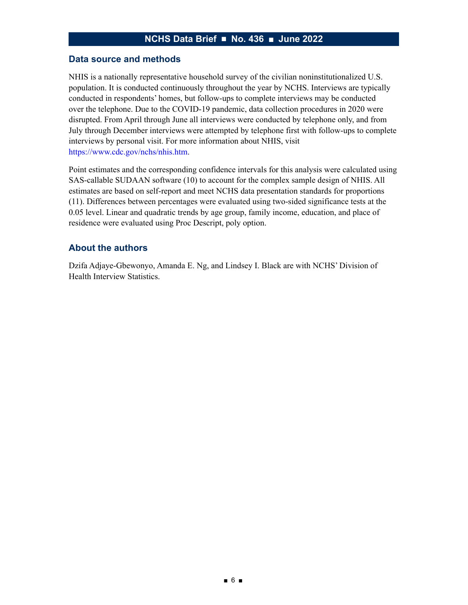#### **Data source and methods**

NHIS is a nationally representative household survey of the civilian noninstitutionalized U.S. population. It is conducted continuously throughout the year by NCHS. Interviews are typically conducted in respondents' homes, but follow-ups to complete interviews may be conducted over the telephone. Due to the COVID-19 pandemic, data collection procedures in 2020 were disrupted. From April through June all interviews were conducted by telephone only, and from July through December interviews were attempted by telephone first with follow-ups to complete interviews by personal visit. For more information about NHIS, visit <https://www.cdc.gov/nchs/nhis.htm>.

Point estimates and the corresponding confidence intervals for this analysis were calculated using SAS-callable SUDAAN software (10) to account for the complex sample design of NHIS. All estimates are based on self-report and meet NCHS data presentation standards for proportions (11). Differences between percentages were evaluated using two-sided significance tests at the 0.05 level. Linear and quadratic trends by age group, family income, education, and place of residence were evaluated using Proc Descript, poly option.

#### **About the authors**

Dzifa Adjaye-Gbewonyo, Amanda E. Ng, and Lindsey I. Black are with NCHS' Division of Health Interview Statistics.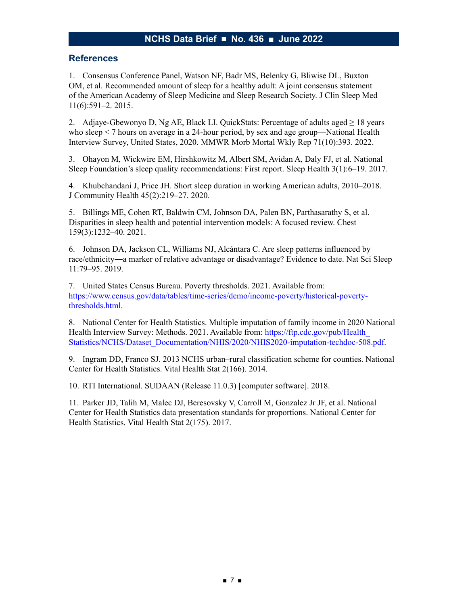### **References**

1. Consensus Conference Panel, Watson NF, Badr MS, Belenky G, Bliwise DL, Buxton OM, et al. Recommended amount of sleep for a healthy adult: A joint consensus statement of the American Academy of Sleep Medicine and Sleep Research Society. J Clin Sleep Med 11(6):591–2. 2015.

2. Adjaye-Gbewonyo D, Ng AE, Black LI. QuickStats: Percentage of adults aged  $\geq 18$  years who sleep < 7 hours on average in a 24-hour period, by sex and age group—National Health Interview Survey, United States, 2020. MMWR Morb Mortal Wkly Rep 71(10):393. 2022.

3. Ohayon M, Wickwire EM, Hirshkowitz M, Albert SM, Avidan A, Daly FJ, et al. National Sleep Foundation's sleep quality recommendations: First report. Sleep Health 3(1):6–19. 2017.

4. Khubchandani J, Price JH. Short sleep duration in working American adults, 2010–2018. J Community Health 45(2):219–27. 2020.

5. Billings ME, Cohen RT, Baldwin CM, Johnson DA, Palen BN, Parthasarathy S, et al. Disparities in sleep health and potential intervention models: A focused review. Chest 159(3):1232–40. 2021.

6. Johnson DA, Jackson CL, Williams NJ, Alcántara C. Are sleep patterns influenced by race/ethnicity―a marker of relative advantage or disadvantage? Evidence to date. Nat Sci Sleep 11:79–95. 2019.

7. United States Census Bureau. Poverty thresholds. 2021. Available from: [https://www.census.gov/data/tables/time-series/demo/income-poverty/historical-poverty](https://www.census.gov/data/tables/time-series/demo/income-poverty/historical-poverty-thresholds.html)[thresholds.html](https://www.census.gov/data/tables/time-series/demo/income-poverty/historical-poverty-thresholds.html).

8. National Center for Health Statistics. Multiple imputation of family income in 2020 National Health Interview Survey: Methods. 2021. Available from: https://ftp.cdc.gov/pub/Health [Statistics/NCHS/Dataset\\_Documentation/NHIS/2020/NHIS2020-imputation-techdoc-508.pdf.](https://ftp.cdc.gov/pub/Health_Statistics/NCHS/Dataset_Documentation/NHIS/2020/NHIS2020-imputation-techdoc-508.pdf)

9. Ingram DD, Franco SJ. 2013 NCHS urban–rural classification scheme for counties. National Center for Health Statistics. Vital Health Stat 2(166). 2014.

10. RTI International. SUDAAN (Release 11.0.3) [computer software]. 2018.

11. Parker JD, Talih M, Malec DJ, Beresovsky V, Carroll M, Gonzalez Jr JF, et al. National Center for Health Statistics data presentation standards for proportions. National Center for Health Statistics. Vital Health Stat 2(175). 2017.